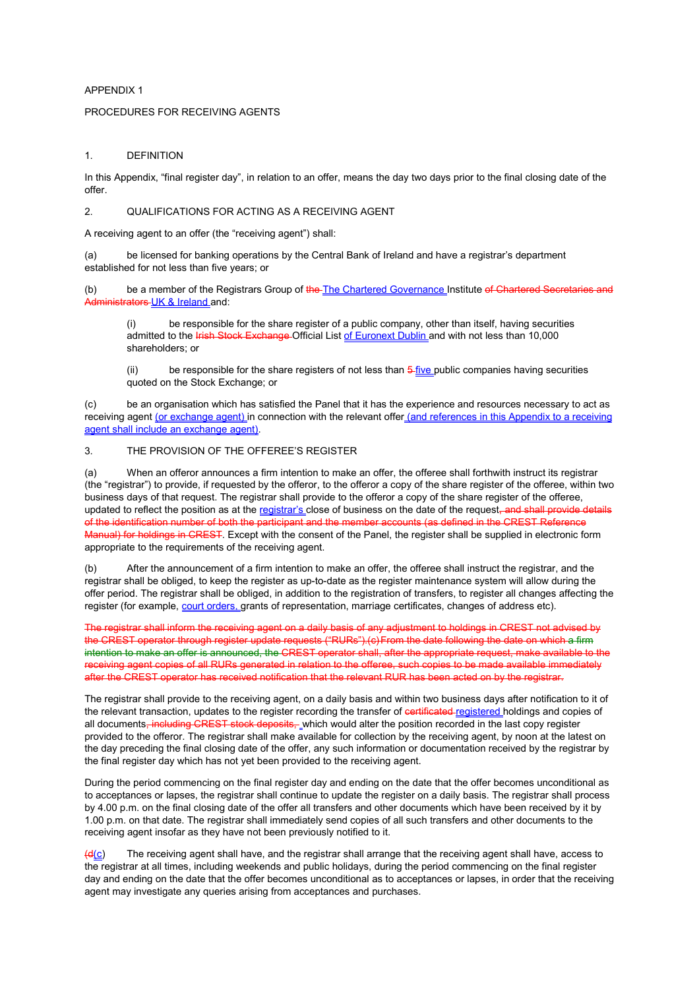## APPENDIX 1

### PROCEDURES FOR RECEIVING AGENTS

#### 1. DEFINITION

In this Appendix, "final register day", in relation to an offer, means the day two days prior to the final closing date of the offer.

## 2. QUALIFICATIONS FOR ACTING AS A RECEIVING AGENT

A receiving agent to an offer (the "receiving agent") shall:

(a) be licensed for banking operations by the Central Bank of Ireland and have a registrar's department established for not less than five years; or

(b) be a member of the Registrars Group of the The Chartered Governance Institute of Chartered Secretaries and Administrators UK & Ireland and:

(i) be responsible for the share register of a public company, other than itself, having securities admitted to the **Irish Stock Exchange** Official List of Euronext Dublin and with not less than 10,000 shareholders; or

 $(ii)$  be responsible for the share registers of not less than  $\frac{5 \text{ five}}{1 \text{ year}}$  public companies having securities quoted on the Stock Exchange; or

(c) be an organisation which has satisfied the Panel that it has the experience and resources necessary to act as receiving agent (or exchange agent) in connection with the relevant offer (and references in this Appendix to a receiving agent shall include an exchange agent).

### 3. THE PROVISION OF THE OFFEREE'S REGISTER

(a) When an offeror announces a firm intention to make an offer, the offeree shall forthwith instruct its registrar (the "registrar") to provide, if requested by the offeror, to the offeror a copy of the share register of the offeree, within two business days of that request. The registrar shall provide to the offeror a copy of the share register of the offeree, updated to reflect the position as at the registrar's close of business on the date of the request, and shall provide details<br>of the identification number of both the participant and the member accounts (as defined in the of the identification number of both the  $\mu$ Manual) for holdings in CREST. Except with the consent of the Panel, the register shall be supplied in electronic form appropriate to the requirements of the receiving agent.

(b) After the announcement of a firm intention to make an offer, the offeree shall instruct the registrar, and the registrar shall be obliged, to keep the register as up-to-date as the register maintenance system will allow during the offer period. The registrar shall be obliged, in addition to the registration of transfers, to register all changes affecting the register (for example, court orders, grants of representation, marriage certificates, changes of address etc).

The registrar shall inform the receiving agent on a daily basis of any adjustment to holdings in CREST not advised by the CREST operator through register update requests ("RURs").(c) From the date following the date on which a firm intention to make an offer is announced, the CREST operator shall, after the appropriate request, make available to the receiving agent copies of all RURs generated in relation to the offeree, such copies to be made available immediately after the CREST operator has received notification that the relevant RUR has been acted on by the registrar.

The registrar shall provide to the receiving agent, on a daily basis and within two business days after notification to it of the relevant transaction, updates to the register recording the transfer of contrificated registered holdings and copies of all documents, including CREST stock deposits, which would alter the position recorded in the last copy register provided to the offeror. The registrar shall make available for collection by the receiving agent, by noon at the latest on the day preceding the final closing date of the offer, any such information or documentation received by the registrar by the final register day which has not yet been provided to the receiving agent.

During the period commencing on the final register day and ending on the date that the offer becomes unconditional as to acceptances or lapses, the registrar shall continue to update the register on a daily basis. The registrar shall process by 4.00 p.m. on the final closing date of the offer all transfers and other documents which have been received by it by 1.00 p.m. on that date. The registrar shall immediately send copies of all such transfers and other documents to the receiving agent insofar as they have not been previously notified to it.

 $(d(c))$  The receiving agent shall have, and the registrar shall arrange that the receiving agent shall have, access to the registrar at all times, including weekends and public holidays, during the period commencing on the final register day and ending on the date that the offer becomes unconditional as to acceptances or lapses, in order that the receiving agent may investigate any queries arising from acceptances and purchases.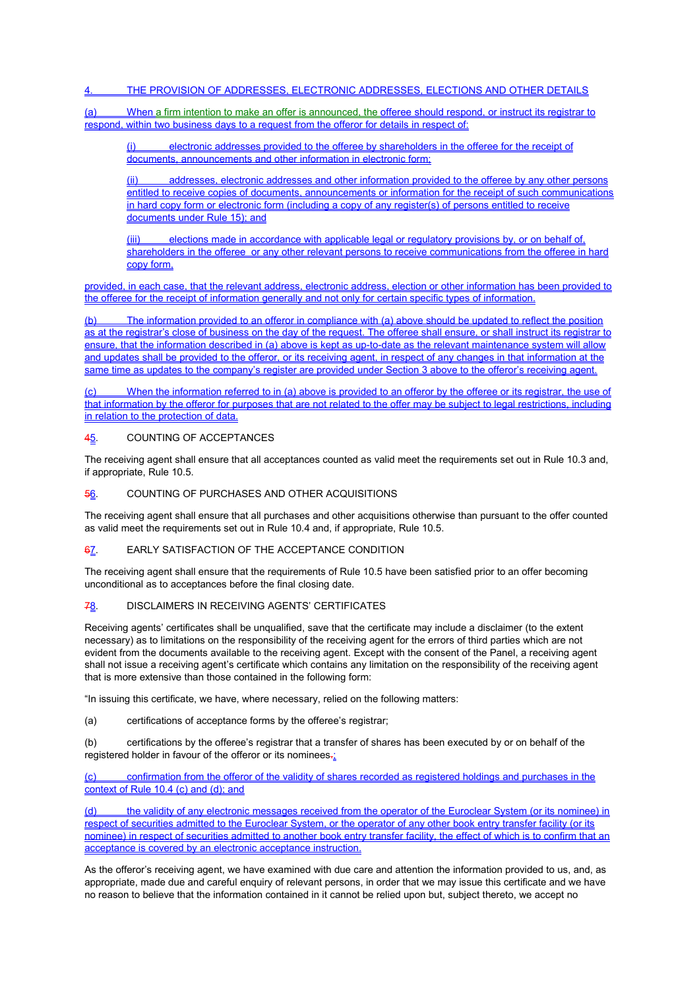## THE PROVISION OF ADDRESSES, ELECTRONIC ADDRESSES, ELECTIONS AND OTHER DETAILS

(a) When a firm intention to make an offer is announced, the offeree should respond, or instruct its registrar to respond, within two business days to a request from the offeror for details in respect of:

electronic addresses provided to the offeree by shareholders in the offeree for the receipt of documents, announcements and other information in electronic form;

(ii) addresses, electronic addresses and other information provided to the offeree by any other persons entitled to receive copies of documents, announcements or information for the receipt of such communications in hard copy form or electronic form (including a copy of any register(s) of persons entitled to receive documents under Rule 15); and

elections made in accordance with applicable legal or regulatory provisions by, or on behalf of, shareholders in the offeree or any other relevant persons to receive communications from the offeree in hard copy form,

provided, in each case, that the relevant address, electronic address, election or other information has been provided to the offeree for the receipt of information generally and not only for certain specific types of information.

(b) The information provided to an offeror in compliance with (a) above should be updated to reflect the position as at the registrar's close of business on the day of the request. The offeree shall ensure, or shall instruct its registrar to ensure, that the information described in (a) above is kept as up-to-date as the relevant maintenance system will allow and updates shall be provided to the offeror, or its receiving agent, in respect of any changes in that information at the same time as updates to the company's register are provided under Section 3 above to the offeror's receiving agent.

When the information referred to in (a) above is provided to an offeror by the offeree or its registrar, the use of that information by the offeror for purposes that are not related to the offer may be subject to legal restrictions, including in relation to the protection of data.

## 45. COUNTING OF ACCEPTANCES

The receiving agent shall ensure that all acceptances counted as valid meet the requirements set out in Rule 10.3 and, if appropriate, Rule 10.5.

### 56. COUNTING OF PURCHASES AND OTHER ACQUISITIONS

The receiving agent shall ensure that all purchases and other acquisitions otherwise than pursuant to the offer counted as valid meet the requirements set out in Rule 10.4 and, if appropriate, Rule 10.5.

## 67. EARLY SATISFACTION OF THE ACCEPTANCE CONDITION

The receiving agent shall ensure that the requirements of Rule 10.5 have been satisfied prior to an offer becoming unconditional as to acceptances before the final closing date.

#### 78. DISCLAIMERS IN RECEIVING AGENTS' CERTIFICATES

Receiving agents' certificates shall be unqualified, save that the certificate may include a disclaimer (to the extent necessary) as to limitations on the responsibility of the receiving agent for the errors of third parties which are not evident from the documents available to the receiving agent. Except with the consent of the Panel, a receiving agent shall not issue a receiving agent's certificate which contains any limitation on the responsibility of the receiving agent that is more extensive than those contained in the following form:

"In issuing this certificate, we have, where necessary, relied on the following matters:

(a) certifications of acceptance forms by the offeree's registrar;

(b) certifications by the offeree's registrar that a transfer of shares has been executed by or on behalf of the registered holder in favour of the offeror or its nominees.

(c) confirmation from the offeror of the validity of shares recorded as registered holdings and purchases in the context of Rule 10.4 (c) and (d); and

(d) the validity of any electronic messages received from the operator of the Euroclear System (or its nominee) in respect of securities admitted to the Euroclear System, or the operator of any other book entry transfer facility (or its nominee) in respect of securities admitted to another book entry transfer facility, the effect of which is to confirm that an acceptance is covered by an electronic acceptance instruction.

As the offeror's receiving agent, we have examined with due care and attention the information provided to us, and, as appropriate, made due and careful enquiry of relevant persons, in order that we may issue this certificate and we have no reason to believe that the information contained in it cannot be relied upon but, subject thereto, we accept no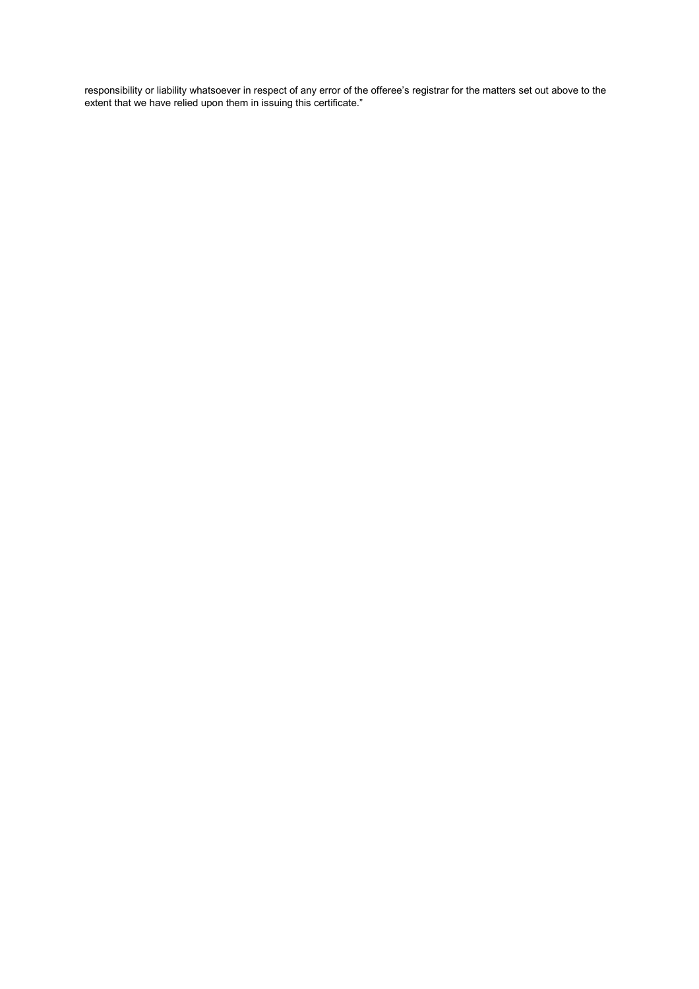responsibility or liability whatsoever in respect of any error of the offeree's registrar for the matters set out above to the extent that we have relied upon them in issuing this certificate."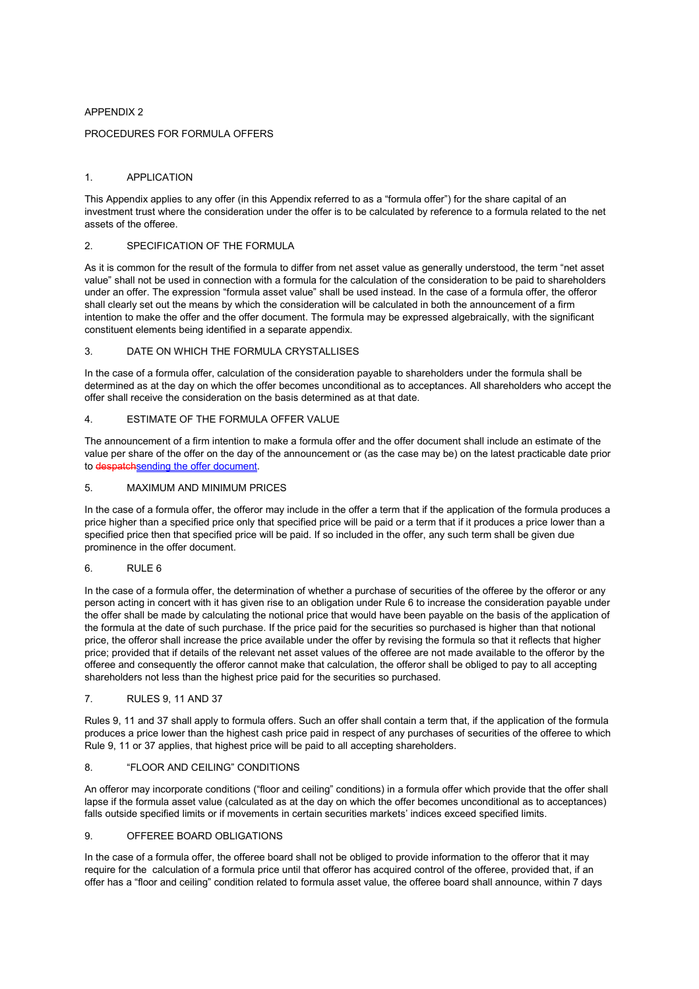## APPENDIX 2

## PROCEDURES FOR FORMULA OFFERS

### 1. APPLICATION

This Appendix applies to any offer (in this Appendix referred to as a "formula offer") for the share capital of an investment trust where the consideration under the offer is to be calculated by reference to a formula related to the net assets of the offeree.

## 2 SPECIFICATION OF THE FORMULA

As it is common for the result of the formula to differ from net asset value as generally understood, the term "net asset value" shall not be used in connection with a formula for the calculation of the consideration to be paid to shareholders under an offer. The expression "formula asset value" shall be used instead. In the case of a formula offer, the offeror shall clearly set out the means by which the consideration will be calculated in both the announcement of a firm intention to make the offer and the offer document. The formula may be expressed algebraically, with the significant constituent elements being identified in a separate appendix.

### 3. DATE ON WHICH THE FORMULA CRYSTALLISES

In the case of a formula offer, calculation of the consideration payable to shareholders under the formula shall be determined as at the day on which the offer becomes unconditional as to acceptances. All shareholders who accept the offer shall receive the consideration on the basis determined as at that date.

## 4. ESTIMATE OF THE FORMULA OFFER VALUE

The announcement of a firm intention to make a formula offer and the offer document shall include an estimate of the value per share of the offer on the day of the announcement or (as the case may be) on the latest practicable date prior to despatchsending the offer document.

## 5. MAXIMUM AND MINIMUM PRICES

In the case of a formula offer, the offeror may include in the offer a term that if the application of the formula produces a price higher than a specified price only that specified price will be paid or a term that if it produces a price lower than a specified price then that specified price will be paid. If so included in the offer, any such term shall be given due prominence in the offer document.

## 6. RULE 6

In the case of a formula offer, the determination of whether a purchase of securities of the offeree by the offeror or any person acting in concert with it has given rise to an obligation under Rule 6 to increase the consideration payable under the offer shall be made by calculating the notional price that would have been payable on the basis of the application of the formula at the date of such purchase. If the price paid for the securities so purchased is higher than that notional price, the offeror shall increase the price available under the offer by revising the formula so that it reflects that higher price; provided that if details of the relevant net asset values of the offeree are not made available to the offeror by the offeree and consequently the offeror cannot make that calculation, the offeror shall be obliged to pay to all accepting shareholders not less than the highest price paid for the securities so purchased.

## 7. RULES 9, 11 AND 37

Rules 9, 11 and 37 shall apply to formula offers. Such an offer shall contain a term that, if the application of the formula produces a price lower than the highest cash price paid in respect of any purchases of securities of the offeree to which Rule 9, 11 or 37 applies, that highest price will be paid to all accepting shareholders.

## 8. "FLOOR AND CEILING" CONDITIONS

An offeror may incorporate conditions ("floor and ceiling" conditions) in a formula offer which provide that the offer shall lapse if the formula asset value (calculated as at the day on which the offer becomes unconditional as to acceptances) falls outside specified limits or if movements in certain securities markets' indices exceed specified limits.

#### 9. OFFEREE BOARD OBLIGATIONS

In the case of a formula offer, the offeree board shall not be obliged to provide information to the offeror that it may require for the calculation of a formula price until that offeror has acquired control of the offeree, provided that, if an offer has a "floor and ceiling" condition related to formula asset value, the offeree board shall announce, within 7 days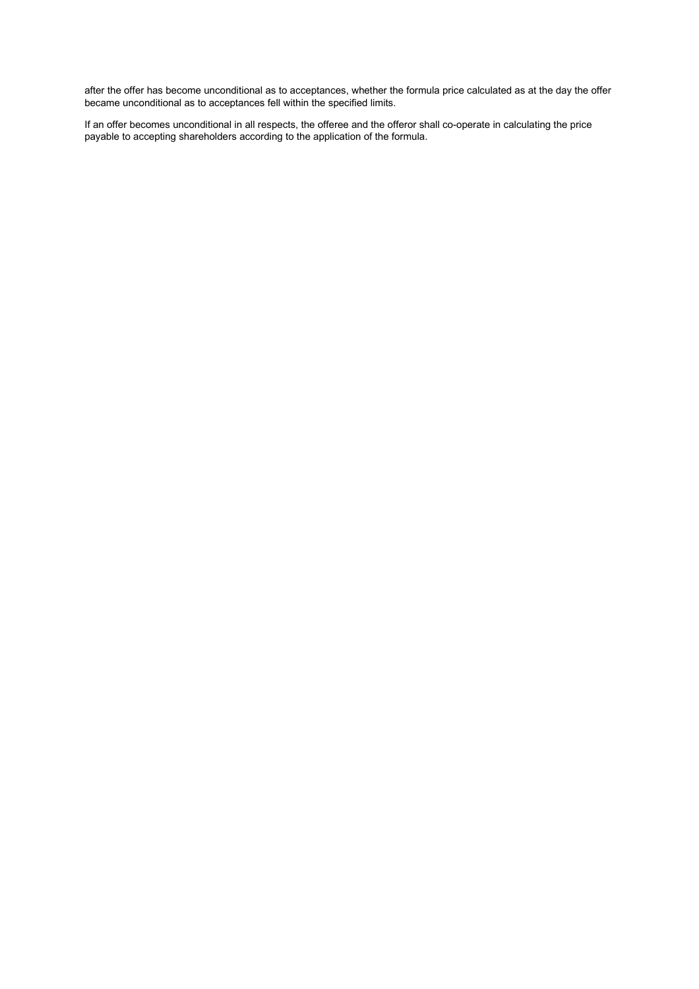after the offer has become unconditional as to acceptances, whether the formula price calculated as at the day the offer became unconditional as to acceptances fell within the specified limits.

If an offer becomes unconditional in all respects, the offeree and the offeror shall co-operate in calculating the price payable to accepting shareholders according to the application of the formula.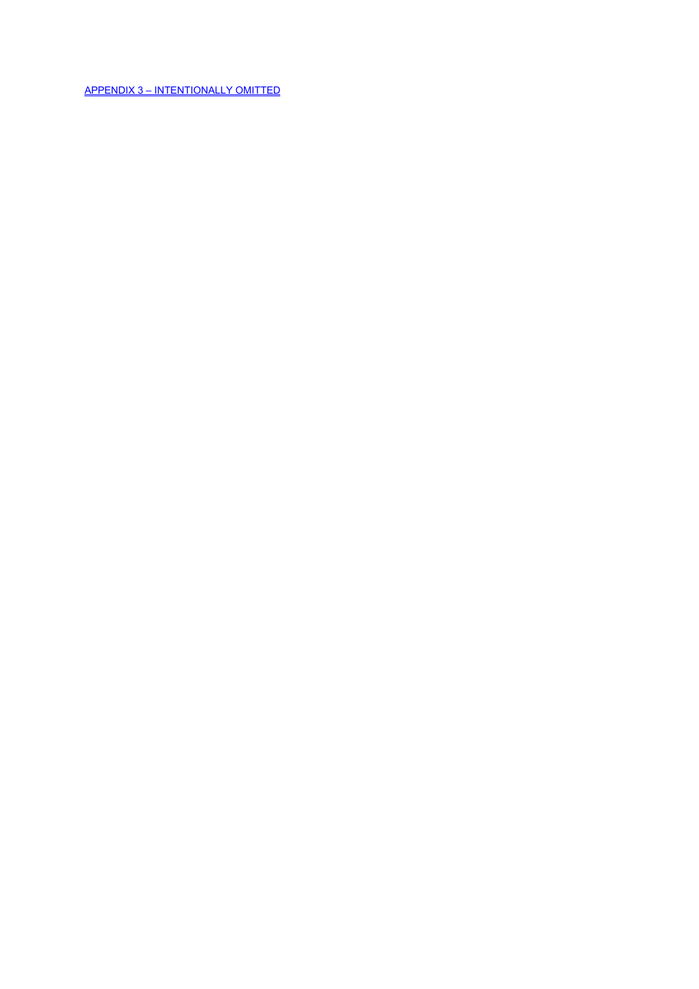APPENDIX 3 – INTENTIONALLY OMITTED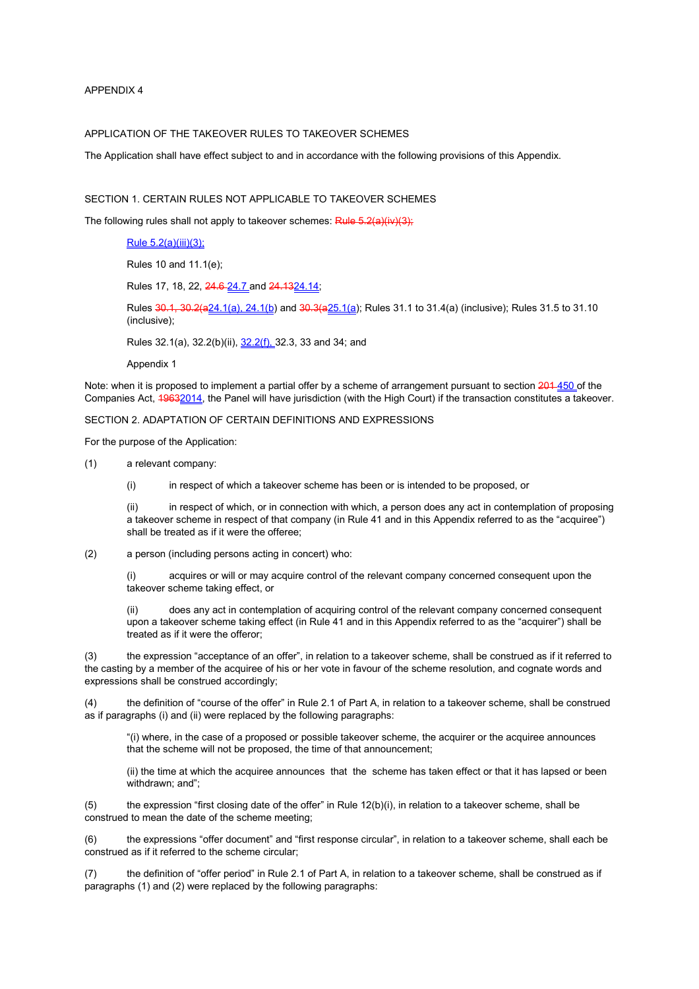APPENDIX 4

## APPLICATION OF THE TAKEOVER RULES TO TAKEOVER SCHEMES

The Application shall have effect subject to and in accordance with the following provisions of this Appendix.

# SECTION 1. CERTAIN RULES NOT APPLICABLE TO TAKEOVER SCHEMES

The following rules shall not apply to takeover schemes: Rule 5.2(a)(iv)(3);

# Rule 5.2(a)(iii)(3);

Rules 10 and 11.1(e);

Rules 17, 18, 22, 24.6 24.7 and 24.13 24.14;

Rules 30.1, 30.2(a24.1(a), 24.1(b) and 30.3(a25.1(a); Rules 31.1 to 31.4(a) (inclusive); Rules 31.5 to 31.10 (inclusive);

Rules 32.1(a), 32.2(b)(ii), 32.2(f), 32.3, 33 and 34; and

Appendix 1

Note: when it is proposed to implement a partial offer by a scheme of arrangement pursuant to section 201 450 of the Companies Act, 19632014, the Panel will have jurisdiction (with the High Court) if the transaction constitutes a takeover.

SECTION 2. ADAPTATION OF CERTAIN DEFINITIONS AND EXPRESSIONS

For the purpose of the Application:

(1) a relevant company:

(i) in respect of which a takeover scheme has been or is intended to be proposed, or

(ii) in respect of which, or in connection with which, a person does any act in contemplation of proposing a takeover scheme in respect of that company (in Rule 41 and in this Appendix referred to as the "acquiree") shall be treated as if it were the offeree;

(2) a person (including persons acting in concert) who:

(i) acquires or will or may acquire control of the relevant company concerned consequent upon the takeover scheme taking effect, or

does any act in contemplation of acquiring control of the relevant company concerned consequent upon a takeover scheme taking effect (in Rule 41 and in this Appendix referred to as the "acquirer") shall be treated as if it were the offeror;

(3) the expression "acceptance of an offer", in relation to a takeover scheme, shall be construed as if it referred to the casting by a member of the acquiree of his or her vote in favour of the scheme resolution, and cognate words and expressions shall be construed accordingly;

(4) the definition of "course of the offer" in Rule 2.1 of Part A, in relation to a takeover scheme, shall be construed as if paragraphs (i) and (ii) were replaced by the following paragraphs:

"(i) where, in the case of a proposed or possible takeover scheme, the acquirer or the acquiree announces that the scheme will not be proposed, the time of that announcement;

(ii) the time at which the acquiree announces that the scheme has taken effect or that it has lapsed or been withdrawn; and";

(5) the expression "first closing date of the offer" in Rule 12(b)(i), in relation to a takeover scheme, shall be construed to mean the date of the scheme meeting;

(6) the expressions "offer document" and "first response circular", in relation to a takeover scheme, shall each be construed as if it referred to the scheme circular;

(7) the definition of "offer period" in Rule 2.1 of Part A, in relation to a takeover scheme, shall be construed as if paragraphs (1) and (2) were replaced by the following paragraphs: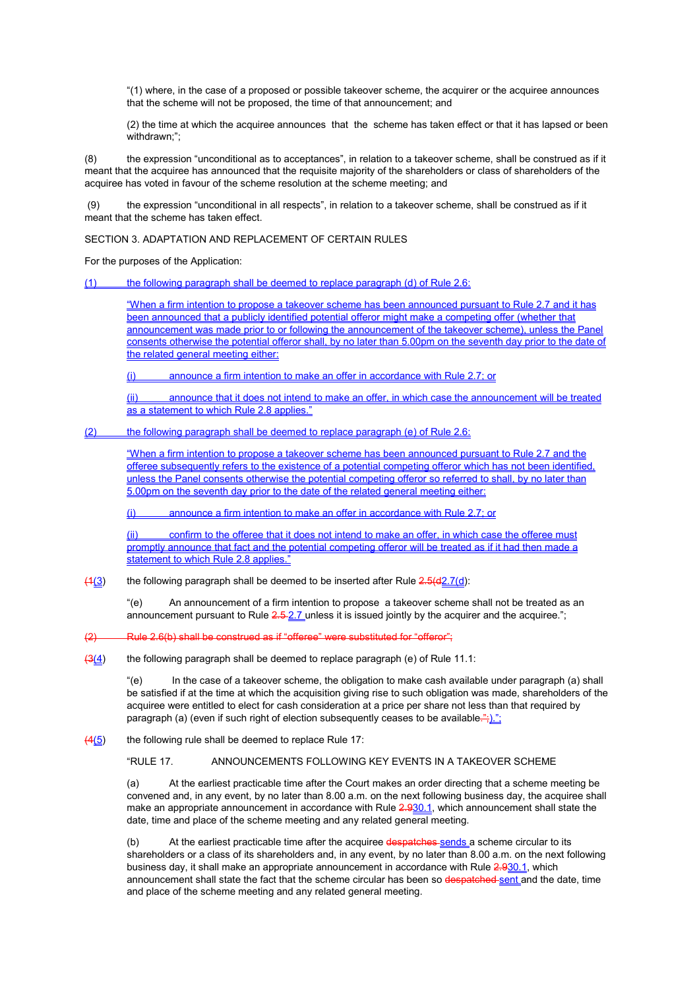"(1) where, in the case of a proposed or possible takeover scheme, the acquirer or the acquiree announces that the scheme will not be proposed, the time of that announcement; and

(2) the time at which the acquiree announces that the scheme has taken effect or that it has lapsed or been withdrawn:":

(8) the expression "unconditional as to acceptances", in relation to a takeover scheme, shall be construed as if it meant that the acquiree has announced that the requisite majority of the shareholders or class of shareholders of the acquiree has voted in favour of the scheme resolution at the scheme meeting; and

 (9) the expression "unconditional in all respects", in relation to a takeover scheme, shall be construed as if it meant that the scheme has taken effect.

SECTION 3. ADAPTATION AND REPLACEMENT OF CERTAIN RULES

For the purposes of the Application:

(1) the following paragraph shall be deemed to replace paragraph (d) of Rule 2.6:

"When a firm intention to propose a takeover scheme has been announced pursuant to Rule 2.7 and it has been announced that a publicly identified potential offeror might make a competing offer (whether that announcement was made prior to or following the announcement of the takeover scheme), unless the Panel consents otherwise the potential offeror shall, by no later than 5.00pm on the seventh day prior to the date of the related general meeting either:

(i) announce a firm intention to make an offer in accordance with Rule 2.7; or

(ii) announce that it does not intend to make an offer, in which case the announcement will be treated as a statement to which Rule 2.8 applies."

(2) the following paragraph shall be deemed to replace paragraph (e) of Rule 2.6:

"When a firm intention to propose a takeover scheme has been announced pursuant to Rule 2.7 and the offeree subsequently refers to the existence of a potential competing offeror which has not been identified, unless the Panel consents otherwise the potential competing offeror so referred to shall, by no later than 5.00pm on the seventh day prior to the date of the related general meeting either:

(i) announce a firm intention to make an offer in accordance with Rule 2.7; or

confirm to the offeree that it does not intend to make an offer, in which case the offeree must promptly announce that fact and the potential competing offeror will be treated as if it had then made a statement to which Rule 2.8 applies."

 $(4(3)$  the following paragraph shall be deemed to be inserted after Rule  $2.5(42.7(d))$ :

"(e) An announcement of a firm intention to propose a takeover scheme shall not be treated as an announcement pursuant to Rule 2.5-2.7 unless it is issued jointly by the acquirer and the acquiree.";

(2) Rule 2.6(b) shall be construed as if "offeree" were substituted for "offeror";

 $\frac{13(4)}{11(4)}$  the following paragraph shall be deemed to replace paragraph (e) of Rule 11.1:

"(e) In the case of a takeover scheme, the obligation to make cash available under paragraph (a) shall be satisfied if at the time at which the acquisition giving rise to such obligation was made, shareholders of the acquiree were entitled to elect for cash consideration at a price per share not less than that required by paragraph (a) (even if such right of election subsequently ceases to be available.";).";

 $\frac{(4(5))}{(4(5)}$  the following rule shall be deemed to replace Rule 17:

"RULE 17. ANNOUNCEMENTS FOLLOWING KEY EVENTS IN A TAKEOVER SCHEME

(a) At the earliest practicable time after the Court makes an order directing that a scheme meeting be convened and, in any event, by no later than 8.00 a.m. on the next following business day, the acquiree shall make an appropriate announcement in accordance with Rule 2.930.1, which announcement shall state the date, time and place of the scheme meeting and any related general meeting.

(b) At the earliest practicable time after the acquiree despatches sends a scheme circular to its shareholders or a class of its shareholders and, in any event, by no later than 8.00 a.m. on the next following business day, it shall make an appropriate announcement in accordance with Rule 2.930.1, which announcement shall state the fact that the scheme circular has been so despatched sent and the date, time and place of the scheme meeting and any related general meeting.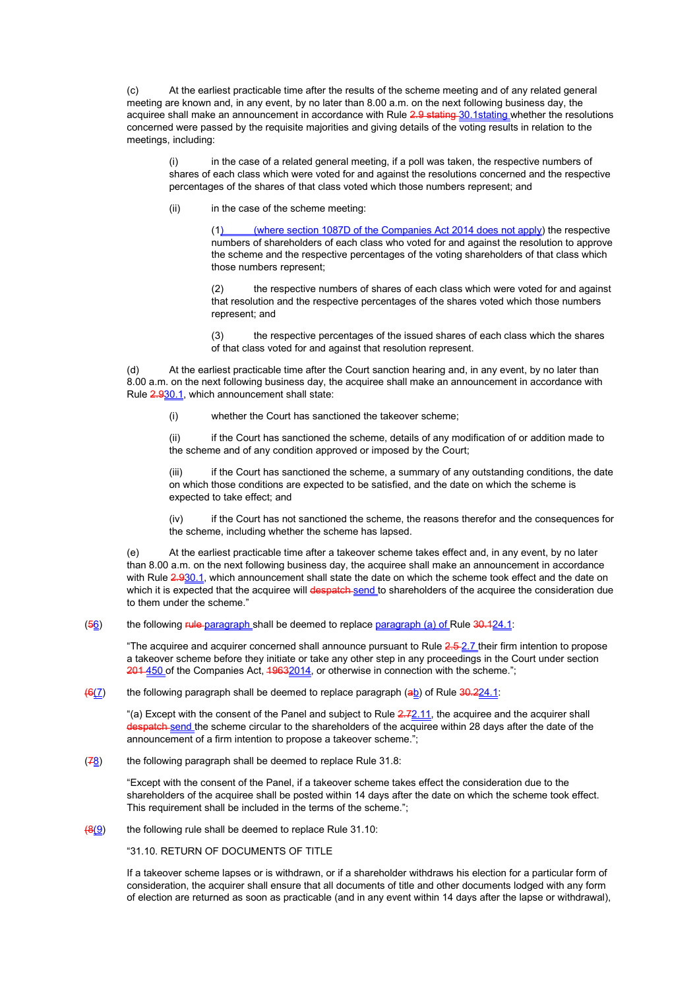(c) At the earliest practicable time after the results of the scheme meeting and of any related general meeting are known and, in any event, by no later than 8.00 a.m. on the next following business day, the acquiree shall make an announcement in accordance with Rule 2.9 stating 30.1 stating whether the resolutions concerned were passed by the requisite majorities and giving details of the voting results in relation to the meetings, including:

(i) in the case of a related general meeting, if a poll was taken, the respective numbers of shares of each class which were voted for and against the resolutions concerned and the respective percentages of the shares of that class voted which those numbers represent; and

(ii) in the case of the scheme meeting:

(where section 1087D of the Companies Act  $2014$  does not apply) the respective numbers of shareholders of each class who voted for and against the resolution to approve the scheme and the respective percentages of the voting shareholders of that class which those numbers represent;

(2) the respective numbers of shares of each class which were voted for and against that resolution and the respective percentages of the shares voted which those numbers represent; and

(3) the respective percentages of the issued shares of each class which the shares of that class voted for and against that resolution represent.

(d) At the earliest practicable time after the Court sanction hearing and, in any event, by no later than 8.00 a.m. on the next following business day, the acquiree shall make an announcement in accordance with Rule 2.930.1, which announcement shall state:

(i) whether the Court has sanctioned the takeover scheme;

(ii) if the Court has sanctioned the scheme, details of any modification of or addition made to the scheme and of any condition approved or imposed by the Court;

(iii) if the Court has sanctioned the scheme, a summary of any outstanding conditions, the date on which those conditions are expected to be satisfied, and the date on which the scheme is expected to take effect; and

(iv) if the Court has not sanctioned the scheme, the reasons therefor and the consequences for the scheme, including whether the scheme has lapsed.

(e) At the earliest practicable time after a takeover scheme takes effect and, in any event, by no later than 8.00 a.m. on the next following business day, the acquiree shall make an announcement in accordance with Rule 2.930.1, which announcement shall state the date on which the scheme took effect and the date on which it is expected that the acquiree will despatch send to shareholders of the acquiree the consideration due to them under the scheme."

 $(56)$  the following rule-paragraph shall be deemed to replace paragraph (a) of Rule  $30.124.1$ :

"The acquiree and acquirer concerned shall announce pursuant to Rule 2.5-2.7 their firm intention to propose a takeover scheme before they initiate or take any other step in any proceedings in the Court under section 201 450 of the Companies Act, 19632014, or otherwise in connection with the scheme.";

 $(6(7)$  the following paragraph shall be deemed to replace paragraph (ab) of Rule  $30.224.1$ :

"(a) Except with the consent of the Panel and subject to Rule  $2.72.11$ , the acquiree and the acquirer shall **h** send the scheme circular to the shareholders of the acquiree within 28 days after the date of the announcement of a firm intention to propose a takeover scheme.";

 $(78)$  the following paragraph shall be deemed to replace Rule 31.8:

"Except with the consent of the Panel, if a takeover scheme takes effect the consideration due to the shareholders of the acquiree shall be posted within 14 days after the date on which the scheme took effect. This requirement shall be included in the terms of the scheme.";

 $\frac{49(9)}{8}$  the following rule shall be deemed to replace Rule 31.10:

"31.10. RETURN OF DOCUMENTS OF TITLE

If a takeover scheme lapses or is withdrawn, or if a shareholder withdraws his election for a particular form of consideration, the acquirer shall ensure that all documents of title and other documents lodged with any form of election are returned as soon as practicable (and in any event within 14 days after the lapse or withdrawal),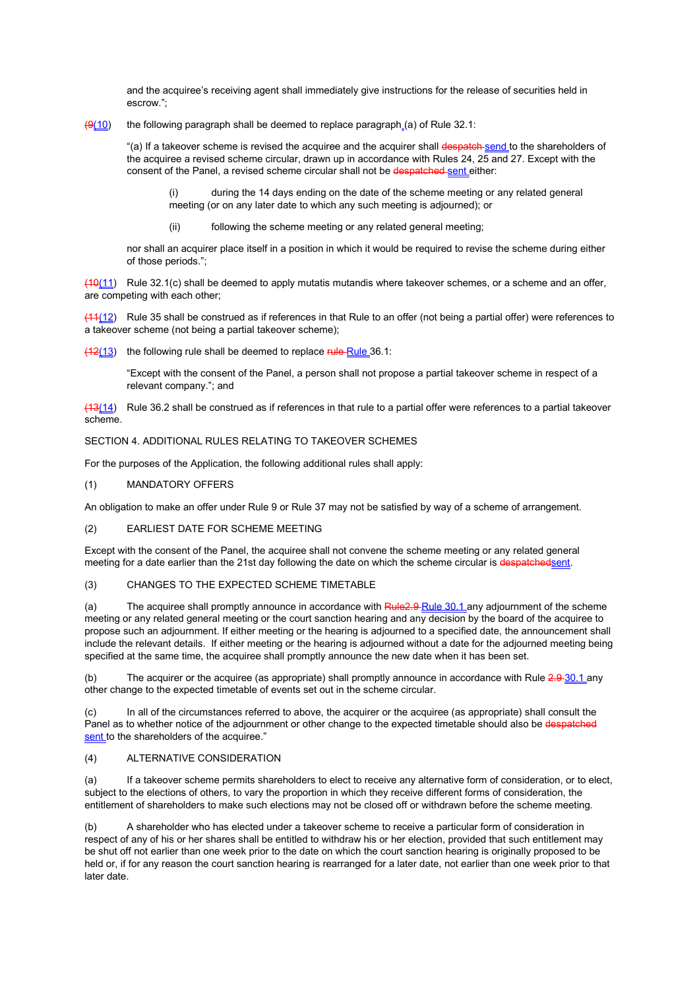and the acquiree's receiving agent shall immediately give instructions for the release of securities held in escrow.";

 $(9(10)$  the following paragraph shall be deemed to replace paragraph (a) of Rule 32.1:

"(a) If a takeover scheme is revised the acquiree and the acquirer shall despatch send to the shareholders of the acquiree a revised scheme circular, drawn up in accordance with Rules 24, 25 and 27. Except with the consent of the Panel, a revised scheme circular shall not be despatched sent either:

(i) during the 14 days ending on the date of the scheme meeting or any related general meeting (or on any later date to which any such meeting is adjourned); or

(ii) following the scheme meeting or any related general meeting;

nor shall an acquirer place itself in a position in which it would be required to revise the scheme during either of those periods.";

 $(10)(11)$  Rule 32.1(c) shall be deemed to apply mutatis mutandis where takeover schemes, or a scheme and an offer, are competing with each other;

(11(12) Rule 35 shall be construed as if references in that Rule to an offer (not being a partial offer) were references to a takeover scheme (not being a partial takeover scheme);

 $(12(13))$  the following rule shall be deemed to replace rule Rule 36.1:

"Except with the consent of the Panel, a person shall not propose a partial takeover scheme in respect of a relevant company."; and

(13(14) Rule 36.2 shall be construed as if references in that rule to a partial offer were references to a partial takeover scheme.

SECTION 4. ADDITIONAL RULES RELATING TO TAKEOVER SCHEMES

For the purposes of the Application, the following additional rules shall apply:

### (1) MANDATORY OFFERS

An obligation to make an offer under Rule 9 or Rule 37 may not be satisfied by way of a scheme of arrangement.

## (2) EARLIEST DATE FOR SCHEME MEETING

Except with the consent of the Panel, the acquiree shall not convene the scheme meeting or any related general meeting for a date earlier than the 21st day following the date on which the scheme circular is despatchedsent.

## (3) CHANGES TO THE EXPECTED SCHEME TIMETABLE

(a) The acquiree shall promptly announce in accordance with Rule 2.9 Rule 30.1 any adjournment of the scheme meeting or any related general meeting or the court sanction hearing and any decision by the board of the acquiree to propose such an adjournment. If either meeting or the hearing is adjourned to a specified date, the announcement shall include the relevant details. If either meeting or the hearing is adjourned without a date for the adjourned meeting being specified at the same time, the acquiree shall promptly announce the new date when it has been set.

(b) The acquirer or the acquiree (as appropriate) shall promptly announce in accordance with Rule 2.9 30.1 any other change to the expected timetable of events set out in the scheme circular.

(c) In all of the circumstances referred to above, the acquirer or the acquiree (as appropriate) shall consult the Panel as to whether notice of the adjournment or other change to the expected timetable should also be despatch sent to the shareholders of the acquiree."

## (4) ALTERNATIVE CONSIDERATION

(a) If a takeover scheme permits shareholders to elect to receive any alternative form of consideration, or to elect, subject to the elections of others, to vary the proportion in which they receive different forms of consideration, the entitlement of shareholders to make such elections may not be closed off or withdrawn before the scheme meeting.

(b) A shareholder who has elected under a takeover scheme to receive a particular form of consideration in respect of any of his or her shares shall be entitled to withdraw his or her election, provided that such entitlement may be shut off not earlier than one week prior to the date on which the court sanction hearing is originally proposed to be held or, if for any reason the court sanction hearing is rearranged for a later date, not earlier than one week prior to that later date.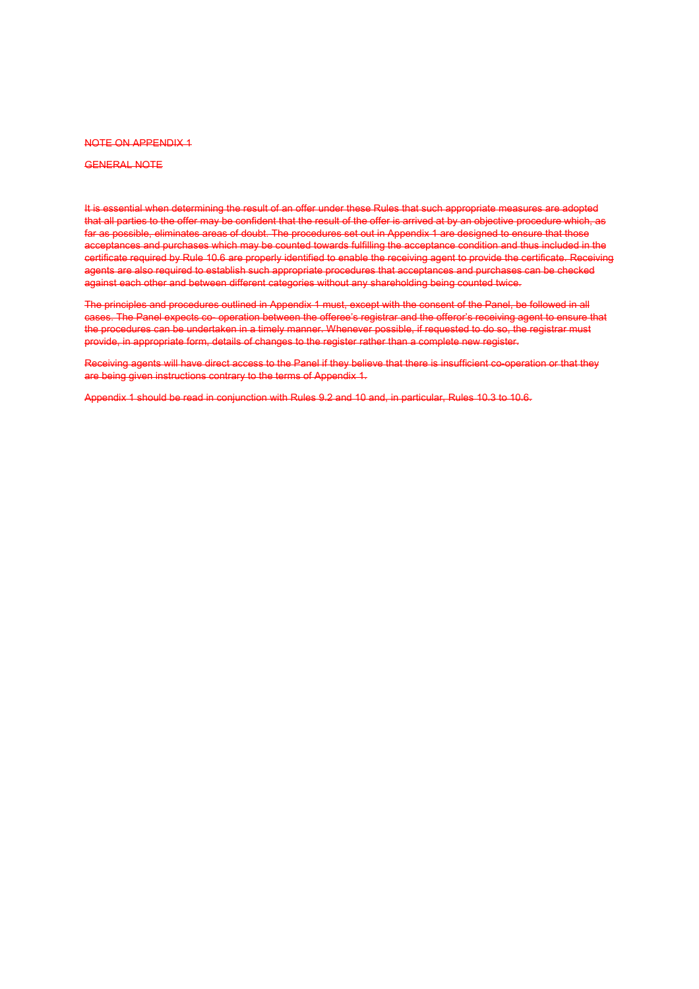#### NOTE ON APPENDIX 1

### GENERAL NOTE

It is essential when determining the result of an offer under these Rules that such appropriate measures are adopted that all parties to the offer may be confident that the result of the offer is arrived at by an objective procedure which, as far as possible, eliminates areas of doubt. The procedures set out in Appendix 1 are designed to ensure that those acceptances and purchases which may be counted towards fulfilling the acceptance condition and thus included in the certificate required by Rule 10.6 are properly identified to enable the receiving agent to provide the certificate. Receiving agents are also required to establish such appropriate procedures that acceptances and purchases can be checked against each other and between different categories without any shareholding being counted twice.

The principles and procedures outlined in Appendix 1 must, except with the consent of the Panel, be followed in all cases. The Panel expects co- operation between the offeree's registrar and the offeror's receiving agent to ensure that the procedures can be undertaken in a timely manner. Whenever possible, if requested to do so, the registrar must provide, in appropriate form, details of changes to the register rather than a complete new register.

Receiving agents will have direct access to the Panel if they believe that there is insufficient co-operation or that they are being given instructions contrary to the terms of Appendix 1.

Appendix 1 should be read in conjunction with Rules 9.2 and 10 and, in particular, Rules 10.3 to 10.6.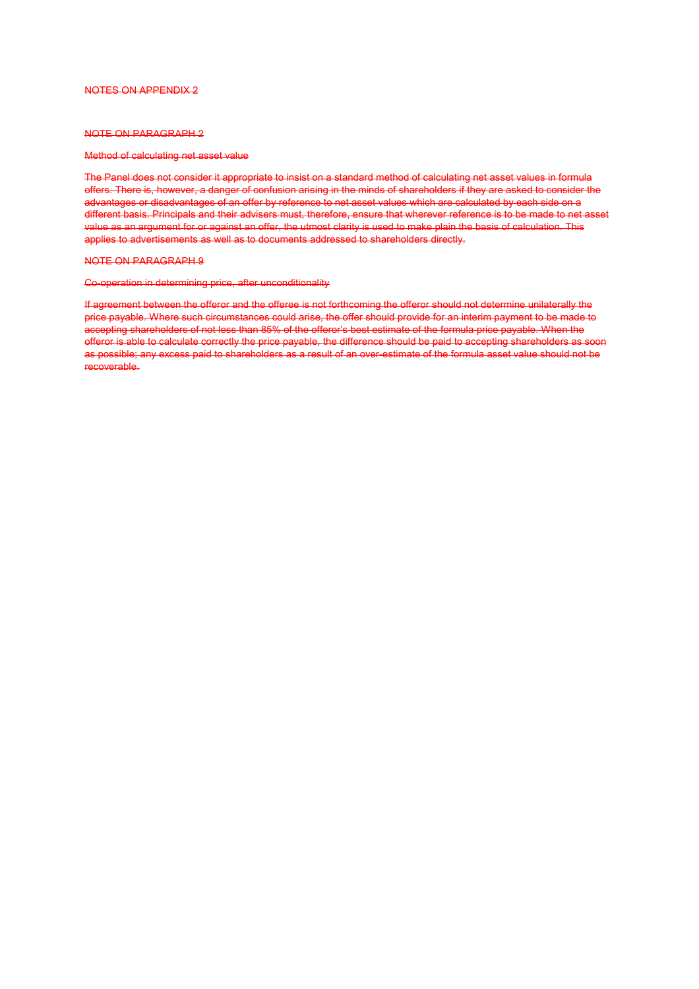#### NOTES ON APPENDIX 2

## NOTE ON PARAGRAPH 2

### Method of calculating net asset value

The Panel does not consider it appropriate to insist on a standard method of calculating net asset values in formula offers. There is, however, a danger of confusion arising in the minds of shareholders if they are asked to consider the advantages or disadvantages of an offer by reference to net asset values which are calculated by each side on a different basis. Principals and their advisers must, therefore, ensure that wherever reference is to be made to net asset value as an argument for or against an offer, the utmost clarity is used to make plain the basis of calculation. This applies to advertisements as well as to documents addressed to shareholders directly.

#### NOTE ON PARAGRAPH 9

#### Co-operation in determining price, after unconditionality

If agreement between the offeror and the offeree is not forthcoming the offeror should not determine unilaterally the price payable. Where such circumstances could arise, the offer should provide for an interim payment to be made to accepting shareholders of not less than 85% of the offeror's best estimate of the formula price payable. When the offeror is able to calculate correctly the price payable, the difference should be paid to accepting shareholders as soon as possible; any excess paid to shareholders as a result of an over-estimate of the formula asset value should not be recoverable.